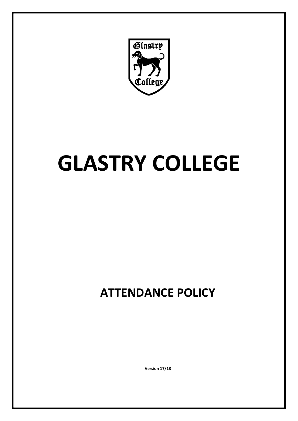

# **GLASTRY COLLEGE**

## **ATTENDANCE POLICY**

**Version 17/18**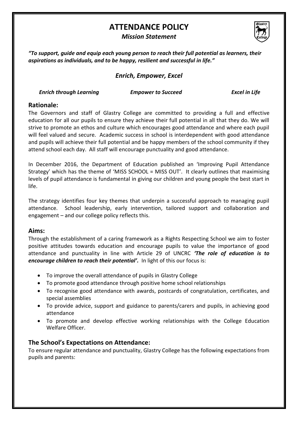### **ATTENDANCE POLICY**

#### *Mission Statement*



*"To support, guide and equip each young person to reach their full potential as learners, their aspirations as individuals, and to be happy, resilient and successful in life."*

#### *Enrich, Empower, Excel*

*Enrich through Learning Empower to Succeed Excel in Life*

#### **Rationale:**

The Governors and staff of Glastry College are committed to providing a full and effective education for all our pupils to ensure they achieve their full potential in all that they do. We will strive to promote an ethos and culture which encourages good attendance and where each pupil will feel valued and secure. Academic success in school is interdependent with good attendance and pupils will achieve their full potential and be happy members of the school community if they attend school each day. All staff will encourage punctuality and good attendance.

In December 2016, the Department of Education published an 'Improving Pupil Attendance Strategy' which has the theme of 'MISS SCHOOL = MISS OUT'. It clearly outlines that maximising levels of pupil attendance is fundamental in giving our children and young people the best start in life.

The strategy identifies four key themes that underpin a successful approach to managing pupil attendance. School leadership, early intervention, tailored support and collaboration and engagement – and our college policy reflects this.

#### **Aims:**

Through the establishment of a caring framework as a Rights Respecting School we aim to foster positive attitudes towards education and encourage pupils to value the importance of good attendance and punctuality in line with Article 29 of UNCRC *'The role of education is to encourage children to reach their potential'.* In light of this our focus is:

- To improve the overall attendance of pupils in Glastry College
- To promote good attendance through positive home school relationships
- To recognise good attendance with awards, postcards of congratulation, certificates, and special assemblies
- To provide advice, support and guidance to parents/carers and pupils, in achieving good attendance
- To promote and develop effective working relationships with the College Education Welfare Officer.

#### **The School's Expectations on Attendance:**

To ensure regular attendance and punctuality, Glastry College has the following expectations from pupils and parents: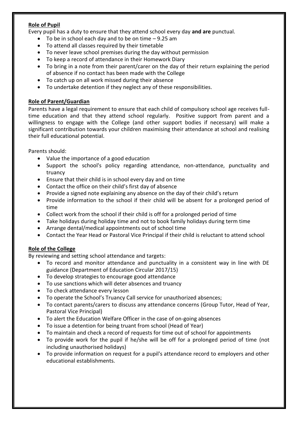#### **Role of Pupil**

Every pupil has a duty to ensure that they attend school every day **and are** punctual.

- To be in school each day and to be on time 9.25 am
- To attend all classes required by their timetable
- To never leave school premises during the day without permission
- To keep a record of attendance in their Homework Diary
- To bring in a note from their parent/carer on the day of their return explaining the period of absence if no contact has been made with the College
- To catch up on all work missed during their absence
- To undertake detention if they neglect any of these responsibilities.

#### **Role of Parent/Guardian**

Parents have a legal requirement to ensure that each child of compulsory school age receives fulltime education and that they attend school regularly. Positive support from parent and a willingness to engage with the College (and other support bodies if necessary) will make a significant contribution towards your children maximising their attendance at school and realising their full educational potential.

Parents should:

- Value the importance of a good education
- Support the school's policy regarding attendance, non-attendance, punctuality and truancy
- Ensure that their child is in school every day and on time
- Contact the office on their child's first day of absence
- Provide a signed note explaining any absence on the day of their child's return
- Provide information to the school if their child will be absent for a prolonged period of time
- Collect work from the school if their child is off for a prolonged period of time
- Take holidays during holiday time and not to book family holidays during term time
- Arrange dental/medical appointments out of school time
- Contact the Year Head or Pastoral Vice Principal if their child is reluctant to attend school

#### **Role of the College**

By reviewing and setting school attendance and targets:

- To record and monitor attendance and punctuality in a consistent way in line with DE guidance (Department of Education Circular 2017/15)
- To develop strategies to encourage good attendance
- To use sanctions which will deter absences and truancy
- To check attendance every lesson
- To operate the School's Truancy Call service for unauthorized absences;
- To contact parents/carers to discuss any attendance concerns (Group Tutor, Head of Year, Pastoral Vice Principal)
- To alert the Education Welfare Officer in the case of on-going absences
- To issue a detention for being truant from school (Head of Year)
- To maintain and check a record of requests for time out of school for appointments
- To provide work for the pupil if he/she will be off for a prolonged period of time (not including unauthorised holidays)
- To provide information on request for a pupil's attendance record to employers and other educational establishments.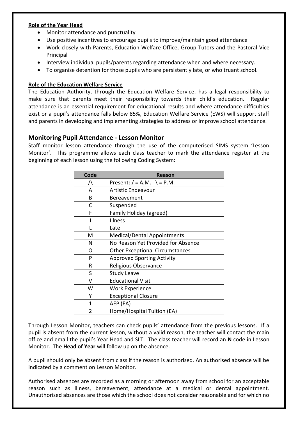#### **Role of the Year Head**

- Monitor attendance and punctuality
- Use positive incentives to encourage pupils to improve/maintain good attendance
- Work closely with Parents, Education Welfare Office, Group Tutors and the Pastoral Vice Principal
- Interview individual pupils/parents regarding attendance when and where necessary.
- To organise detention for those pupils who are persistently late, or who truant school.

#### **Role of the Education Welfare Service**

The Education Authority, through the Education Welfare Service, has a legal responsibility to make sure that parents meet their responsibility towards their child's education. Regular attendance is an essential requirement for educational results and where attendance difficulties exist or a pupil's attendance falls below 85%, Education Welfare Service (EWS) will support staff and parents in developing and implementing strategies to address or improve school attendance.

#### **Monitoring Pupil Attendance - Lesson Monitor**

Staff monitor lesson attendance through the use of the computerised SIMS system 'Lesson Monitor'. This programme allows each class teacher to mark the attendance register at the beginning of each lesson using the following Coding System:

| Code | <b>Reason</b>                          |
|------|----------------------------------------|
|      | Present: $/ = A.M.$ $\ge P.M.$         |
| A    | Artistic Endeavour                     |
| B    | Bereavement                            |
| C    | Suspended                              |
| F    | Family Holiday (agreed)                |
|      | Illness                                |
|      | Late                                   |
| М    | <b>Medical/Dental Appointments</b>     |
| N    | No Reason Yet Provided for Absence     |
| O    | <b>Other Exceptional Circumstances</b> |
| P    | <b>Approved Sporting Activity</b>      |
| R    | Religious Observance                   |
| S    | <b>Study Leave</b>                     |
| v    | <b>Educational Visit</b>               |
| W    | <b>Work Experience</b>                 |
| Y    | <b>Exceptional Closure</b>             |
| 1    | AEP (EA)                               |
| 2    | Home/Hospital Tuition (EA)             |

Through Lesson Monitor, teachers can check pupils' attendance from the previous lessons. If a pupil is absent from the current lesson, without a valid reason, the teacher will contact the main office and email the pupil's Year Head and SLT. The class teacher will record an **N** code in Lesson Monitor. The **Head of Year** will follow up on the absence.

A pupil should only be absent from class if the reason is authorised. An authorised absence will be indicated by a comment on Lesson Monitor.

Authorised absences are recorded as a morning or afternoon away from school for an acceptable reason such as illness, bereavement, attendance at a medical or dental appointment. Unauthorised absences are those which the school does not consider reasonable and for which no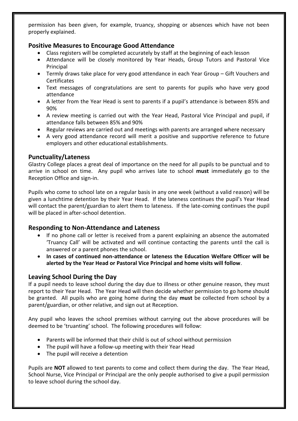permission has been given, for example, truancy, shopping or absences which have not been properly explained.

#### **Positive Measures to Encourage Good Attendance**

- Class registers will be completed accurately by staff at the beginning of each lesson
- Attendance will be closely monitored by Year Heads, Group Tutors and Pastoral Vice Principal
- Termly draws take place for very good attendance in each Year Group Gift Vouchers and **Certificates**
- Text messages of congratulations are sent to parents for pupils who have very good attendance
- A letter from the Year Head is sent to parents if a pupil's attendance is between 85% and 90%
- A review meeting is carried out with the Year Head, Pastoral Vice Principal and pupil, if attendance falls between 85% and 90%
- Regular reviews are carried out and meetings with parents are arranged where necessary
- A very good attendance record will merit a positive and supportive reference to future employers and other educational establishments.

#### **Punctuality/Lateness**

Glastry College places a great deal of importance on the need for all pupils to be punctual and to arrive in school on time. Any pupil who arrives late to school **must** immediately go to the Reception Office and sign-in.

Pupils who come to school late on a regular basis in any one week (without a valid reason) will be given a lunchtime detention by their Year Head. If the lateness continues the pupil's Year Head will contact the parent/guardian to alert them to lateness. If the late-coming continues the pupil will be placed in after-school detention.

#### **Responding to Non-Attendance and Lateness**

- If no phone call or letter is received from a parent explaining an absence the automated 'Truancy Call' will be activated and will continue contacting the parents until the call is answered or a parent phones the school.
- **In cases of continued non-attendance or lateness the Education Welfare Officer will be alerted by the Year Head or Pastoral Vice Principal and home visits will follow**.

#### **Leaving School During the Day**

If a pupil needs to leave school during the day due to illness or other genuine reason, they must report to their Year Head. The Year Head will then decide whether permission to go home should be granted. All pupils who are going home during the day **must** be collected from school by a parent/guardian, or other relative, and sign out at Reception.

Any pupil who leaves the school premises without carrying out the above procedures will be deemed to be 'truanting' school. The following procedures will follow:

- Parents will be informed that their child is out of school without permission
- The pupil will have a follow-up meeting with their Year Head
- The pupil will receive a detention

Pupils are **NOT** allowed to text parents to come and collect them during the day. The Year Head, School Nurse, Vice Principal or Principal are the only people authorised to give a pupil permission to leave school during the school day.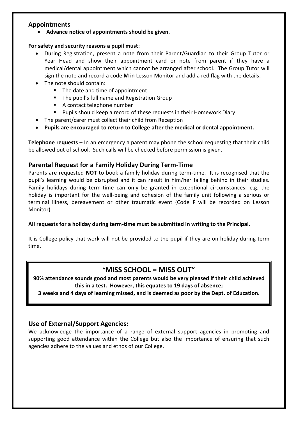#### **Appointments**

**Advance notice of appointments should be given.**

#### **For safety and security reasons a pupil must**:

- During Registration, present a note from their Parent/Guardian to their Group Tutor or Year Head and show their appointment card or note from parent if they have a medical/dental appointment which cannot be arranged after school. The Group Tutor will sign the note and record a code **M** in Lesson Monitor and add a red flag with the details.
- The note should contain:
	- The date and time of appointment
	- The pupil's full name and Registration Group
	- A contact telephone number
	- **Pupils should keep a record of these requests in their Homework Diary**
- The parent/carer must collect their child from Reception
- **Pupils are encouraged to return to College after the medical or dental appointment.**

**Telephone requests** – In an emergency a parent may phone the school requesting that their child be allowed out of school. Such calls will be checked before permission is given.

#### **Parental Request for a Family Holiday During Term-Time**

Parents are requested **NOT** to book a family holiday during term-time. It is recognised that the pupil's learning would be disrupted and it can result in him/her falling behind in their studies. Family holidays during term-time can only be granted in exceptional circumstances: e.g. the holiday is important for the well-being and cohesion of the family unit following a serious or terminal illness, bereavement or other traumatic event (Code **F** will be recorded on Lesson Monitor)

#### **All requests for a holiday during term-time must be submitted in writing to the Principal.**

It is College policy that work will not be provided to the pupil if they are on holiday during term time.

#### **'MISS SCHOOL = MISS OUT"**

**90% attendance sounds good and most parents would be very pleased if their child achieved this in a test. However, this equates to 19 days of absence;**

**3 weeks and 4 days of learning missed, and is deemed as poor by the Dept. of Education.**

#### **Use of External/Support Agencies:**

We acknowledge the importance of a range of external support agencies in promoting and supporting good attendance within the College but also the importance of ensuring that such agencies adhere to the values and ethos of our College.